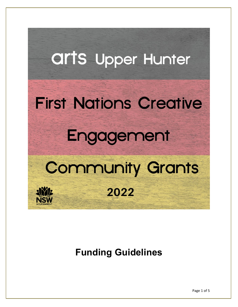### **Arts Upper Hunter**

## **First Nations Creative** Engagement

# **Community Grants**

2022

**XIVYJE** 

### **Funding Guidelines**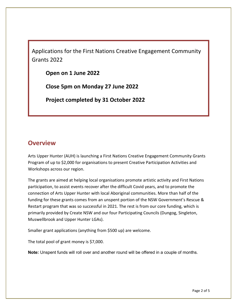Applications for the First Nations Creative Engagement Community Grants 2022

**Open on 1 June 2022**

**Close 5pm on Monday 27 June 2022**

**Project completed by 31 October 2022**

#### **Overview**

Arts Upper Hunter (AUH) is launching a First Nations Creative Engagement Community Grants Program of up to \$2,000 for organisations to present Creative Participation Activities and Workshops across our region.

The grants are aimed at helping local organisations promote artistic activity and First Nations participation, to assist events recover after the difficult Covid years, and to promote the connection of Arts Upper Hunter with local Aboriginal communities. More than half of the funding for these grants comes from an unspent portion of the NSW Government's Rescue & Restart program that was so successful in 2021. The rest is from our core funding, which is primarily provided by Create NSW and our four Participating Councils (Dungog, Singleton, Muswellbrook and Upper Hunter LGAs).

Smaller grant applications (anything from \$500 up) are welcome.

The total pool of grant money is \$7,000.

**Note:** Unspent funds will roll over and another round will be offered in a couple of months.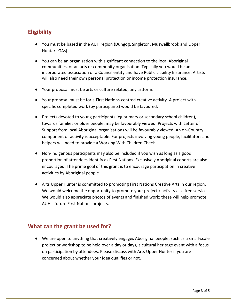#### **Eligibility**

- You must be based in the AUH region (Dungog, Singleton, Muswellbrook and Upper Hunter LGAs)
- You can be an organisation with significant connection to the local Aboriginal communities, or an arts or community organisation. Typically you would be an incorporated association or a Council entity and have Public Liability Insurance. Artists will also need their own personal protection or income protection insurance.
- Your proposal must be arts or culture related, any artform.
- Your proposal must be for a First Nations-centred creative activity. A project with specific completed work (by participants) would be favoured.
- Projects devoted to young participants (eg primary or secondary school children), towards families or older people, may be favourably viewed. Projects with Letter of Support from local Aboriginal organisations will be favourably viewed. An on-Country component or activity is acceptable. For projects involving young people, facilitators and helpers will need to provide a Working With Children Check.
- Non-Indigenous participants may also be included if you wish as long as a good proportion of attendees identify as First Nations. Exclusively Aboriginal cohorts are also encouraged. The prime goal of this grant is to encourage participation in creative activities by Aboriginal people.
- Arts Upper Hunter is committed to promoting First Nations Creative Arts in our region. We would welcome the opportunity to promote your project / activity as a free service. We would also appreciate photos of events and finished work: these will help promote AUH's future First Nations projects.

#### **What can the grant be used for?**

● We are open to anything that creatively engages Aboriginal people, such as a small-scale project or workshop to be held over a day or days, a cultural heritage event with a focus on participation by attendees. Please discuss with Arts Upper Hunter if you are concerned about whether your idea qualifies or not.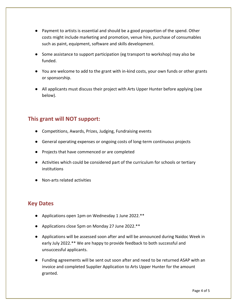- Payment to artists is essential and should be a good proportion of the spend. Other costs might include marketing and promotion, venue hire, purchase of consumables such as paint, equipment, software and skills development.
- Some assistance to support participation (eg transport to workshop) may also be funded.
- You are welcome to add to the grant with in-kind costs, your own funds or other grants or sponsorship.
- All applicants must discuss their project with Arts Upper Hunter before applying (see below).

#### **This grant will NOT support:**

- Competitions, Awards, Prizes, Judging, Fundraising events
- General operating expenses or ongoing costs of long-term continuous projects
- Projects that have commenced or are completed
- Activities which could be considered part of the curriculum for schools or tertiary institutions
- Non-arts related activities

#### **Key Dates**

- Applications open 1pm on Wednesday 1 June 2022.\*\*
- Applications close 5pm on Monday 27 June 2022.\*\*
- Applications will be assessed soon after and will be announced during Naidoc Week in early July 2022.\*\* We are happy to provide feedback to both successful and unsuccessful applicants.
- Funding agreements will be sent out soon after and need to be returned ASAP with an invoice and completed Supplier Application to Arts Upper Hunter for the amount granted.